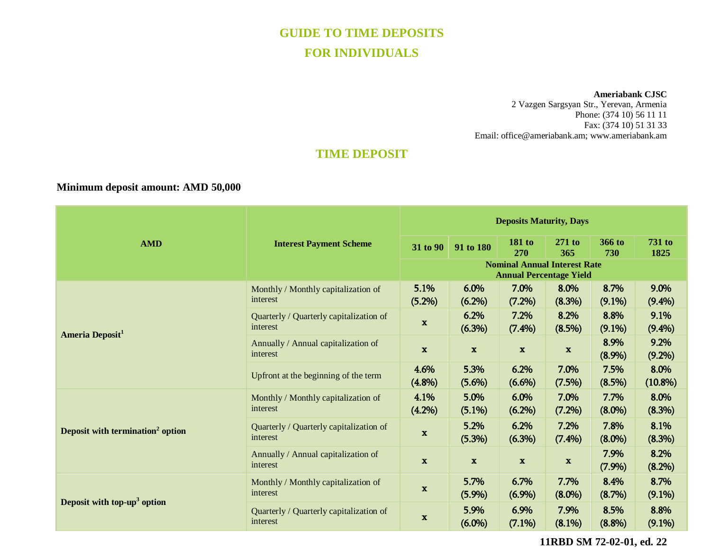# **GUIDE TO TIME DEPOSITS FOR INDIVIDUALS**

**Ameriabank CJSC**

2 Vazgen Sargsyan Str., Yerevan, Armenia Phone: (374 10) 56 11 11 Fax: (374 10) 51 31 33 Email: [office@ameriabank.am;](mailto:office@ameriabank.am) www.ameriabank.am

# **TIME DEPOSIT**

## **Minimum deposit amount: AMD 50,000**

| <b>AMD</b>                                   | <b>Interest Payment Scheme</b>                      | <b>Deposits Maturity, Days</b>                                        |                   |                           |                   |                   |                       |
|----------------------------------------------|-----------------------------------------------------|-----------------------------------------------------------------------|-------------------|---------------------------|-------------------|-------------------|-----------------------|
|                                              |                                                     | 31 to 90                                                              | 91 to 180         | 181 to<br>270             | $271$ to<br>365   | 366 to<br>730     | <b>731 to</b><br>1825 |
|                                              |                                                     | <b>Nominal Annual Interest Rate</b><br><b>Annual Percentage Yield</b> |                   |                           |                   |                   |                       |
| Ameria Deposit <sup>1</sup>                  | Monthly / Monthly capitalization of<br>interest     | 5.1%<br>(5.2%)                                                        | 6.0%<br>$(6.2\%)$ | 7.0%<br>(7.2%)            | 8.0%<br>(8.3%)    | 8.7%<br>$(9.1\%)$ | 9.0%<br>$(9.4\%)$     |
|                                              | Quarterly / Quarterly capitalization of<br>interest | $\mathbf{x}$                                                          | 6.2%<br>(6.3%)    | 7.2%<br>$(7.4\%)$         | 8.2%<br>$(8.5\%)$ | 8.8%<br>$(9.1\%)$ | 9.1%<br>$(9.4\%)$     |
|                                              | Annually / Annual capitalization of<br>interest     | $\mathbf x$                                                           | $\mathbf{x}$      | $\boldsymbol{\mathrm{x}}$ | $\mathbf x$       | 8.9%<br>$(8.9\%)$ | 9.2%<br>$(9.2\%)$     |
|                                              | Upfront at the beginning of the term                | 4.6%<br>$(4.8\%)$                                                     | 5.3%<br>$(5.6\%)$ | 6.2%<br>$(6.6\%)$         | 7.0%<br>(7.5%)    | 7.5%<br>(8.5%)    | 8.0%<br>$(10.8\%)$    |
| Deposit with termination <sup>2</sup> option | Monthly / Monthly capitalization of<br>interest     | 4.1%<br>$(4.2\%)$                                                     | 5.0%<br>$(5.1\%)$ | 6.0%<br>$(6.2\%)$         | 7.0%<br>$(7.2\%)$ | 7.7%<br>$(8.0\%)$ | 8.0%<br>(8.3%)        |
|                                              | Quarterly / Quarterly capitalization of<br>interest | $\mathbf{x}$                                                          | 5.2%<br>(5.3%)    | 6.2%<br>$(6.3\%)$         | 7.2%<br>$(7.4\%)$ | 7.8%<br>$(8.0\%)$ | 8.1%<br>(8.3%)        |
|                                              | Annually / Annual capitalization of<br>interest     | $\mathbf{x}$                                                          | $\mathbf{x}$      | $\mathbf{x}$              | $\mathbf x$       | 7.9%<br>(7.9%)    | 8.2%<br>(8.2%)        |
| Deposit with top- $up3$ option               | Monthly / Monthly capitalization of<br>interest     | $\mathbf x$                                                           | 5.7%<br>(5.9%)    | 6.7%<br>$(6.9\%)$         | 7.7%<br>$(8.0\%)$ | 8.4%<br>(8.7%)    | 8.7%<br>$(9.1\%)$     |
|                                              | Quarterly / Quarterly capitalization of<br>interest | $\mathbf x$                                                           | 5.9%<br>$(6.0\%)$ | 6.9%<br>$(7.1\%)$         | 7.9%<br>$(8.1\%)$ | 8.5%<br>$(8.8\%)$ | 8.8%<br>$(9.1\%)$     |

**11RBD SM 72-02-01, ed. 22**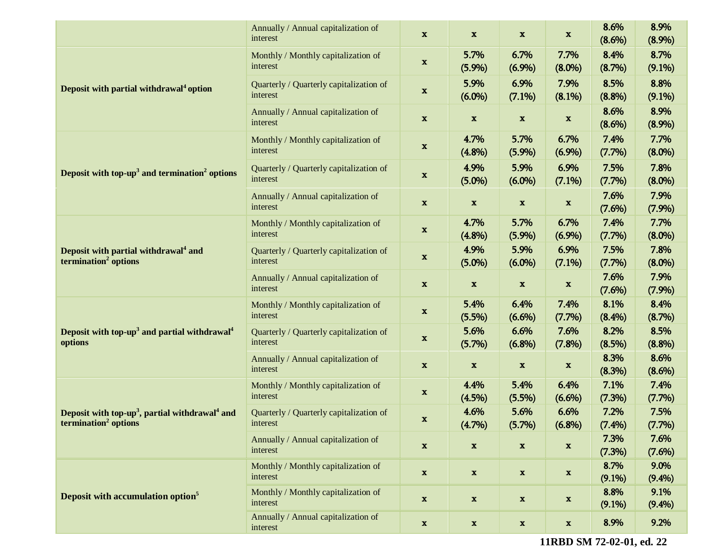|                                                                                                            | Annually / Annual capitalization of<br>interest     | $\mathbf{x}$              | $\mathbf{x}$              | $\mathbf{x}$              | $\mathbf x$               | 8.6%<br>$(8.6\%)$ | 8.9%<br>(8.9%)    |
|------------------------------------------------------------------------------------------------------------|-----------------------------------------------------|---------------------------|---------------------------|---------------------------|---------------------------|-------------------|-------------------|
| Deposit with partial withdrawal <sup>4</sup> option                                                        | Monthly / Monthly capitalization of<br>interest     | $\mathbf x$               | 5.7%<br>(5.9%)            | 6.7%<br>(6.9%)            | 7.7%<br>$(8.0\%)$         | 8.4%<br>(8.7%)    | 8.7%<br>$(9.1\%)$ |
|                                                                                                            | Quarterly / Quarterly capitalization of<br>interest | X                         | 5.9%<br>$(6.0\%)$         | 6.9%<br>(7.1%)            | 7.9%<br>(8.1%)            | 8.5%<br>(8.8%)    | 8.8%<br>$(9.1\%)$ |
|                                                                                                            | Annually / Annual capitalization of<br>interest     | $\mathbf{x}$              | $\mathbf{x}$              | $\mathbf{x}$              | $\mathbf x$               | 8.6%<br>(8.6%)    | 8.9%<br>(8.9%)    |
| Deposit with top- $up3$ and termination <sup>2</sup> options                                               | Monthly / Monthly capitalization of<br>interest     | $\mathbf{x}$              | 4.7%<br>(4.8%)            | 5.7%<br>(5.9%)            | 6.7%<br>(6.9%)            | 7.4%<br>(7.7%)    | 7.7%<br>$(8.0\%)$ |
|                                                                                                            | Quarterly / Quarterly capitalization of<br>interest | $\mathbf x$               | 4.9%<br>$(5.0\%)$         | 5.9%<br>$(6.0\%)$         | 6.9%<br>(7.1%)            | 7.5%<br>(7.7%)    | 7.8%<br>$(8.0\%)$ |
|                                                                                                            | Annually / Annual capitalization of<br>interest     | $\mathbf{x}$              | $\mathbf{x}$              | $\mathbf x$               | $\mathbf x$               | 7.6%<br>(7.6%)    | 7.9%<br>(7.9%)    |
| Deposit with partial withdrawal <sup>4</sup> and<br>termination <sup>2</sup> options                       | Monthly / Monthly capitalization of<br>interest     | X                         | 4.7%<br>(4.8%)            | 5.7%<br>(5.9%)            | 6.7%<br>(6.9%)            | 7.4%<br>(7.7%)    | 7.7%<br>$(8.0\%)$ |
|                                                                                                            | Quarterly / Quarterly capitalization of<br>interest | $\mathbf x$               | 4.9%<br>$(5.0\%)$         | 5.9%<br>$(6.0\%)$         | 6.9%<br>(7.1%)            | 7.5%<br>(7.7%)    | 7.8%<br>$(8.0\%)$ |
|                                                                                                            | Annually / Annual capitalization of<br>interest     | $\mathbf{x}$              | $\mathbf{x}$              | X                         | $\boldsymbol{\mathrm{x}}$ | 7.6%<br>(7.6%)    | 7.9%<br>(7.9%)    |
| Deposit with top-up <sup>3</sup> and partial withdrawal <sup>4</sup><br>options                            | Monthly / Monthly capitalization of<br>interest     | $\mathbf{x}$              | 5.4%<br>(5.5%)            | 6.4%<br>$(6.6\%)$         | 7.4%<br>(7.7%)            | 8.1%<br>$(8.4\%)$ | 8.4%<br>(8.7%)    |
|                                                                                                            | Quarterly / Quarterly capitalization of<br>interest | $\mathbf{x}$              | 5.6%<br>(5.7%)            | 6.6%<br>$(6.8\%)$         | 7.6%<br>(7.8%)            | 8.2%<br>(8.5%)    | 8.5%<br>(8.8%)    |
|                                                                                                            | Annually / Annual capitalization of<br>interest     | $\mathbf{x}$              | $\mathbf{x}$              | $\mathbf x$               | $\boldsymbol{\mathrm{X}}$ | 8.3%<br>(8.3%)    | 8.6%<br>(8.6%)    |
| Deposit with top-up <sup>3</sup> , partial withdrawal <sup>4</sup> and<br>termination <sup>2</sup> options | Monthly / Monthly capitalization of<br>interest     | $\mathbf{x}$              | 4.4%<br>(4.5%)            | 5.4%<br>(5.5%)            | 6.4%<br>$(6.6\%)$         | 7.1%<br>(7.3%)    | 7.4%<br>$(7.7\%)$ |
|                                                                                                            | Quarterly / Quarterly capitalization of<br>interest | X                         | 4.6%<br>(4.7%)            | 5.6%<br>(5.7%)            | 6.6%<br>$(6.8\%)$         | 7.2%<br>(7.4%)    | 7.5%<br>(7.7%)    |
|                                                                                                            | Annually / Annual capitalization of<br>interest     | $\mathbf x$               | $\mathbf x$               | $\boldsymbol{\mathrm{x}}$ | $\boldsymbol{\mathrm{x}}$ | 7.3%<br>(7.3%)    | 7.6%<br>(7.6%)    |
| Deposit with accumulation option <sup>5</sup>                                                              | Monthly / Monthly capitalization of<br>interest     | $\boldsymbol{\mathrm{x}}$ | $\mathbf x$               | $\mathbf x$               | $\mathbf x$               | 8.7%<br>$(9.1\%)$ | 9.0%<br>(9.4%)    |
|                                                                                                            | Monthly / Monthly capitalization of<br>interest     | $\boldsymbol{\mathrm{X}}$ | $\mathbf x$               | $\boldsymbol{\mathrm{x}}$ | $\mathbf x$               | 8.8%<br>$(9.1\%)$ | 9.1%<br>(9.4%)    |
|                                                                                                            | Annually / Annual capitalization of<br>interest     | $\mathbf{x}$              | $\boldsymbol{\mathrm{x}}$ | $\mathbf x$               | $\mathbf x$               | 8.9%              | 9.2%              |

**11RBD SM 72-02-01, ed. 22**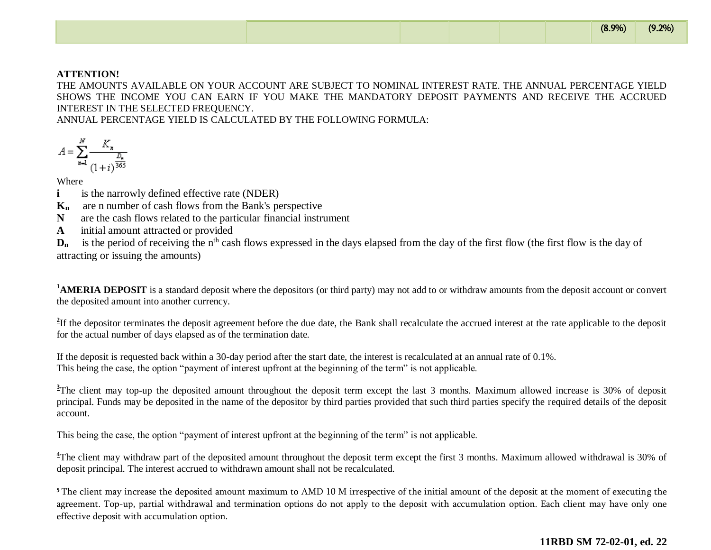#### **ATTENTION!**

THE AMOUNTS AVAILABLE ON YOUR ACCOUNT ARE SUBJECT TO NOMINAL INTEREST RATE. THE ANNUAL PERCENTAGE YIELD SHOWS THE INCOME YOU CAN EARN IF YOU MAKE THE MANDATORY DEPOSIT PAYMENTS AND RECEIVE THE ACCRUED INTEREST IN THE SELECTED FREQUENCY.

ANNUAL PERCENTAGE YIELD IS CALCULATED BY THE FOLLOWING FORMULA:

$$
A = \sum_{n=1}^{N} \frac{K_n}{\frac{D_n}{(1+i)^{\frac{D_n}{365}}}}
$$

**Where** 

**i is the narrowly defined effective rate (NDER)** 

**Kn** are n number of cash flows from the Bank's perspective

**N** are the cash flows related to the particular financial instrument

**A** initial amount attracted or provided

D<sub>n</sub> is the period of receiving the n<sup>th</sup> cash flows expressed in the days elapsed from the day of the first flow (the first flow is the day of attracting or issuing the amounts)

<sup>1</sup>**AMERIA DEPOSIT** is a standard deposit where the depositors (or third party) may not add to or withdraw amounts from the deposit account or convert the deposited amount into another currency.

<sup>2</sup>If the depositor terminates the deposit agreement before the due date, the Bank shall recalculate the accrued interest at the rate applicable to the deposit for the actual number of days elapsed as of the termination date.

If the deposit is requested back within a 30-day period after the start date, the interest is recalculated at an annual rate of 0.1%. This being the case, the option "payment of interest upfront at the beginning of the term" is not applicable.

<sup>3</sup>The client may top-up the deposited amount throughout the deposit term except the last 3 months. Maximum allowed increase is 30% of deposit principal. Funds may be deposited in the name of the depositor by third parties provided that such third parties specify the required details of the deposit account.

This being the case, the option "payment of interest upfront at the beginning of the term" is not applicable.

<sup>4</sup>The client may withdraw part of the deposited amount throughout the deposit term except the first 3 months. Maximum allowed withdrawal is 30% of deposit principal. The interest accrued to withdrawn amount shall not be recalculated.

<sup>5</sup>The client may increase the deposited amount maximum to AMD 10 M irrespective of the initial amount of the deposit at the moment of executing the agreement. Top-up, partial withdrawal and termination options do not apply to the deposit with accumulation option. Each client may have only one effective deposit with accumulation option.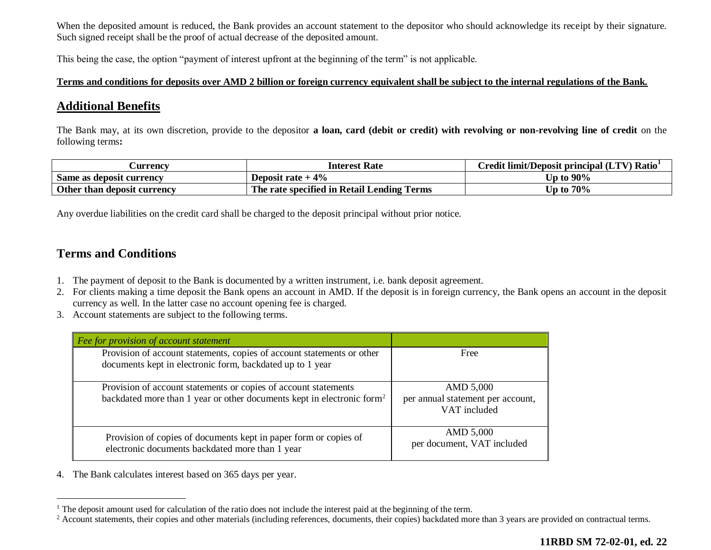When the deposited amount is reduced, the Bank provides an account statement to the depositor who should acknowledge its receipt by their signature. Such signed receipt shall be the proof of actual decrease of the deposited amount.

This being the case, the option "payment of interest upfront at the beginning of the term" is not applicable.

#### **Terms and conditions for deposits over AMD 2 billion or foreign currency equivalent shall be subject to the internal regulations of the Bank.**

## **Additional Benefits**

The Bank may, at its own discretion, provide to the depositor **a loan, card (debit or credit) with revolving or non-revolving line of credit** on the following terms**:** 

| <b>Currency</b>             | <b>Interest Rate</b>                          | Credit limit/Deposit principal (LTV) Ratio <sup>1</sup> |  |  |  |  |
|-----------------------------|-----------------------------------------------|---------------------------------------------------------|--|--|--|--|
| Same as deposit currency    | Deposit rate $+4\%$                           | Up to $90\%$                                            |  |  |  |  |
| Other than deposit currency | The rate specified in Retail Lending<br>Terms | 70%<br>∖ to                                             |  |  |  |  |

Any overdue liabilities on the credit card shall be charged to the deposit principal without prior notice.

## **Terms and Conditions**

 $\overline{a}$ 

- 1. The payment of deposit to the Bank is documented by a written instrument, i.e. bank deposit agreement.
- 2. For clients making a time deposit the Bank opens an account in AMD. If the deposit is in foreign currency, the Bank opens an account in the deposit currency as well. In the latter case no account opening fee is charged.
- 3. Account statements are subject to the following terms.

| $\vert$ Fee for provision of account statement                                                                                                        |                                                                |
|-------------------------------------------------------------------------------------------------------------------------------------------------------|----------------------------------------------------------------|
| Provision of account statements, copies of account statements or other<br>documents kept in electronic form, backdated up to 1 year                   | Free                                                           |
| Provision of account statements or copies of account statements<br>backdated more than 1 year or other documents kept in electronic form <sup>2</sup> | AMD 5,000<br>per annual statement per account,<br>VAT included |
| Provision of copies of documents kept in paper form or copies of<br>electronic documents backdated more than 1 year                                   | AMD 5,000<br>per document, VAT included                        |

4. The Bank calculates interest based on 365 days per year.

<sup>&</sup>lt;sup>1</sup> The deposit amount used for calculation of the ratio does not include the interest paid at the beginning of the term.

<sup>&</sup>lt;sup>2</sup> Account statements, their copies and other materials (including references, documents, their copies) backdated more than 3 years are provided on contractual terms.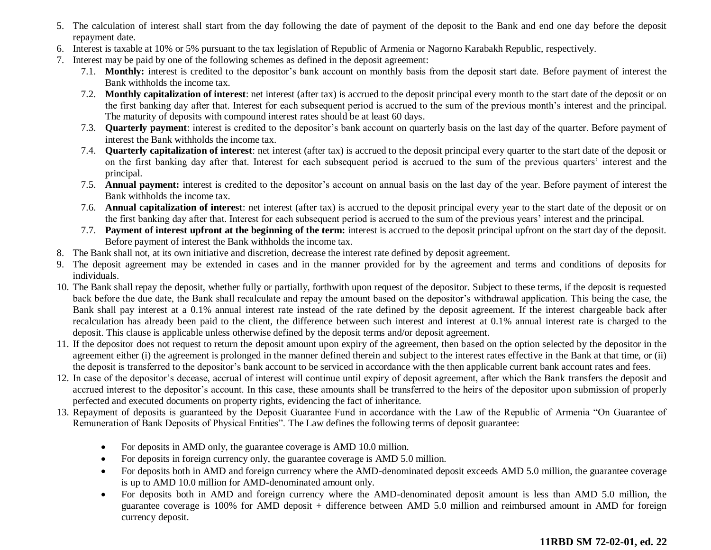- 5. The calculation of interest shall start from the day following the date of payment of the deposit to the Bank and end one day before the deposit repayment date.
- 6. Interest is taxable at 10% or 5% pursuant to the tax legislation of Republic of Armenia or Nagorno Karabakh Republic, respectively.
- 7. Interest may be paid by one of the following schemes as defined in the deposit agreement:
	- 7.1. **Monthly:** interest is credited to the depositor's bank account on monthly basis from the deposit start date. Before payment of interest the Bank withholds the income tax.
	- 7.2. **Monthly capitalization of interest**: net interest (after tax) is accrued to the deposit principal every month to the start date of the deposit or on the first banking day after that. Interest for each subsequent period is accrued to the sum of the previous month's interest and the principal. The maturity of deposits with compound interest rates should be at least 60 days.
	- 7.3. **Quarterly payment**: interest is credited to the depositor's bank account on quarterly basis on the last day of the quarter. Before payment of interest the Bank withholds the income tax.
	- 7.4. **Quarterly capitalization of interest**: net interest (after tax) is accrued to the deposit principal every quarter to the start date of the deposit or on the first banking day after that. Interest for each subsequent period is accrued to the sum of the previous quarters' interest and the principal.
	- 7.5. **Annual payment:** interest is credited to the depositor's account on annual basis on the last day of the year. Before payment of interest the Bank withholds the income tax.
	- 7.6. **Annual capitalization of interest**: net interest (after tax) is accrued to the deposit principal every year to the start date of the deposit or on the first banking day after that. Interest for each subsequent period is accrued to the sum of the previous years' interest and the principal.
	- 7.7. **Payment of interest upfront at the beginning of the term:** interest is accrued to the deposit principal upfront on the start day of the deposit. Before payment of interest the Bank withholds the income tax.
- 8. The Bank shall not, at its own initiative and discretion, decrease the interest rate defined by deposit agreement.
- 9. The deposit agreement may be extended in cases and in the manner provided for by the agreement and terms and conditions of deposits for individuals.
- 10. The Bank shall repay the deposit, whether fully or partially, forthwith upon request of the depositor. Subject to these terms, if the deposit is requested back before the due date, the Bank shall recalculate and repay the amount based on the depositor's withdrawal application. This being the case, the Bank shall pay interest at a 0.1% annual interest rate instead of the rate defined by the deposit agreement. If the interest chargeable back after recalculation has already been paid to the client, the difference between such interest and interest at 0.1% annual interest rate is charged to the deposit. This clause is applicable unless otherwise defined by the deposit terms and/or deposit agreement.
- 11. If the depositor does not request to return the deposit amount upon expiry of the agreement, then based on the option selected by the depositor in the agreement either (i) the agreement is prolonged in the manner defined therein and subject to the interest rates effective in the Bank at that time, or (ii) the deposit is transferred to the depositor's bank account to be serviced in accordance with the then applicable current bank account rates and fees.
- 12. In case of the depositor's decease, accrual of interest will continue until expiry of deposit agreement, after which the Bank transfers the deposit and accrued interest to the depositor's account. In this case, these amounts shall be transferred to the heirs of the depositor upon submission of properly perfected and executed documents on property rights, evidencing the fact of inheritance.
- 13. Repayment of deposits is guaranteed by the Deposit Guarantee Fund in accordance with the Law of the Republic of Armenia "On Guarantee of Remuneration of Bank Deposits of Physical Entities". The Law defines the following terms of deposit guarantee:
	- For deposits in AMD only, the guarantee coverage is AMD 10.0 million.
	- For deposits in foreign currency only, the guarantee coverage is AMD 5.0 million.
	- For deposits both in AMD and foreign currency where the AMD-denominated deposit exceeds AMD 5.0 million, the guarantee coverage is up to AMD 10.0 million for AMD-denominated amount only.
	- For deposits both in AMD and foreign currency where the AMD-denominated deposit amount is less than AMD 5.0 million, the guarantee coverage is 100% for AMD deposit + difference between AMD 5.0 million and reimbursed amount in AMD for foreign currency deposit.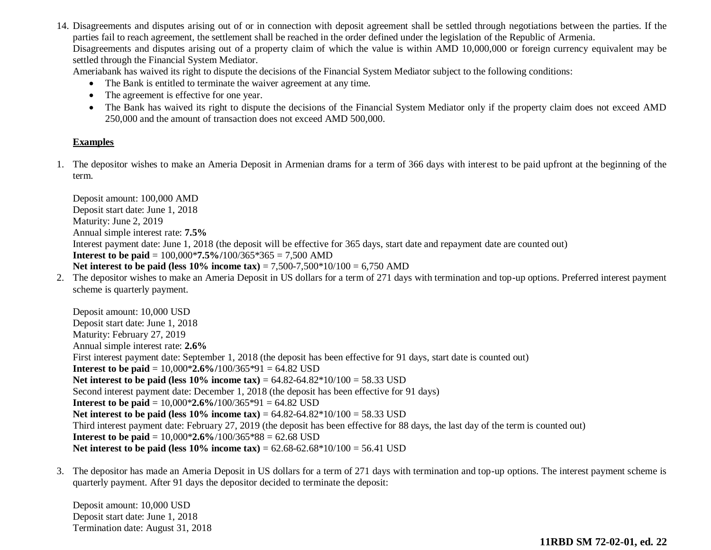14. Disagreements and disputes arising out of or in connection with deposit agreement shall be settled through negotiations between the parties. If the parties fail to reach agreement, the settlement shall be reached in the order defined under the legislation of the Republic of Armenia. Disagreements and disputes arising out of a property claim of which the value is within AMD 10,000,000 or foreign currency equivalent may be settled through the Financial System Mediator.

Ameriabank has waived its right to dispute the decisions of the Financial System Mediator subject to the following conditions:

- The Bank is entitled to terminate the waiver agreement at any time.
- The agreement is effective for one year.
- The Bank has waived its right to dispute the decisions of the Financial System Mediator only if the property claim does not exceed AMD 250,000 and the amount of transaction does not exceed AMD 500,000.

#### **Examples**

1. The depositor wishes to make an Ameria Deposit in Armenian drams for a term of 366 days with interest to be paid upfront at the beginning of the term.

Deposit amount: 100,000 AMD Deposit start date: June 1, 2018 Maturity: June 2, 2019 Annual simple interest rate: **7.5%** Interest payment date: June 1, 2018 (the deposit will be effective for 365 days, start date and repayment date are counted out) **Interest to be paid** = 100,000\***7.5%/**100/365\*365 = 7,500 AMD **Net interest to be paid (less 10% income tax)** = 7,500-7,500\*10/100 = 6,750 AMD 2. The depositor wishes to make an Ameria Deposit in US dollars for a term of 271 days with termination and top-up options. Preferred interest payment scheme is quarterly payment. Deposit amount: 10,000 USD Deposit start date: June 1, 2018 Maturity: February 27, 2019 Annual simple interest rate: **2.6%** First interest payment date: September 1, 2018 (the deposit has been effective for 91 days, start date is counted out) **Interest to be paid** = 10,000\***2.6%/**100/365\*91 = 64.82 USD **Net interest to be paid (less 10% income tax)** = 64.82-64.82\*10/100 = 58.33 USD Second interest payment date: December 1, 2018 (the deposit has been effective for 91 days) **Interest to be paid** =  $10,000*2.6\%/100/365*91 = 64.82$  USD **Net interest to be paid (less 10% income tax)** = 64.82-64.82\*10/100 = 58.33 USD Third interest payment date: February 27, 2019 (the deposit has been effective for 88 days, the last day of the term is counted out) **Interest to be paid** = 10,000\***2.6%**/100/365\*88 = 62.68 USD

- **Net interest to be paid (less 10% income tax)** = 62.68-62.68\*10/100 = 56.41 USD
- 3. The depositor has made an Ameria Deposit in US dollars for a term of 271 days with termination and top-up options. The interest payment scheme is quarterly payment. After 91 days the depositor decided to terminate the deposit:

Deposit amount: 10,000 USD Deposit start date: June 1, 2018 Termination date: August 31, 2018